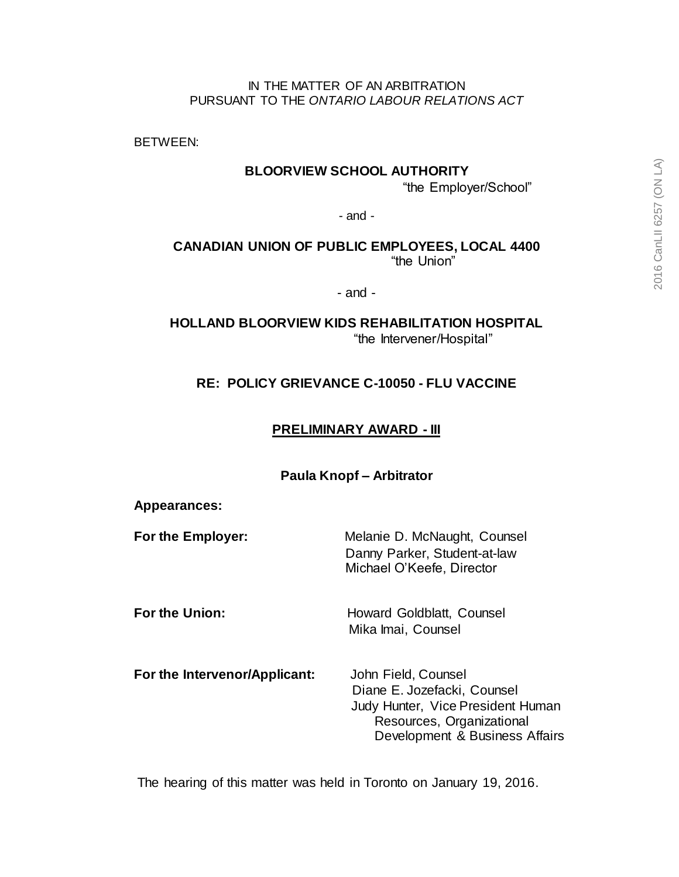#### IN THE MATTER OF AN ARBITRATION PURSUANT TO THE *ONTARIO LABOUR RELATIONS ACT*

BETWEEN:

### **BLOORVIEW SCHOOL AUTHORITY**

"the Employer/School"

- and -

**CANADIAN UNION OF PUBLIC EMPLOYEES, LOCAL 4400** "the Union"

- and -

**HOLLAND BLOORVIEW KIDS REHABILITATION HOSPITAL** "the Intervener/Hospital"

## **RE: POLICY GRIEVANCE C-10050 - FLU VACCINE**

## **PRELIMINARY AWARD - III**

#### **Paula Knopf – Arbitrator**

#### **Appearances:**

**For the Employer:** Melanie D. McNaught, Counsel Danny Parker, Student-at-law Michael O'Keefe, Director

**For the Union:** Howard Goldblatt, Counsel Mika Imai, Counsel

**For the Intervenor/Applicant:** John Field, Counsel

 Diane E. Jozefacki, Counsel Judy Hunter, Vice President Human Resources, Organizational Development & Business Affairs

The hearing of this matter was held in Toronto on January 19, 2016.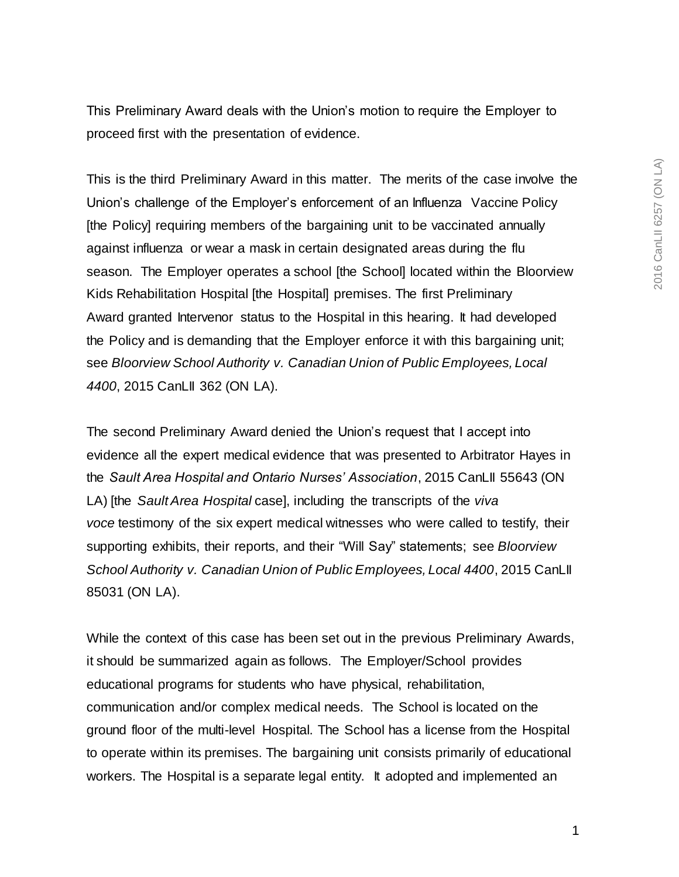This Preliminary Award deals with the Union's motion to require the Employer to proceed first with the presentation of evidence.

This is the third Preliminary Award in this matter. The merits of the case involve the Union's challenge of the Employer's enforcement of an Influenza Vaccine Policy [the Policy] requiring members of the bargaining unit to be vaccinated annually against influenza or wear a mask in certain designated areas during the flu season. The Employer operates a school [the School] located within the Bloorview Kids Rehabilitation Hospital [the Hospital] premises. The first Preliminary Award granted Intervenor status to the Hospital in this hearing. It had developed the Policy and is demanding that the Employer enforce it with this bargaining unit; see *Bloorview School Authority v. Canadian Union of Public Employees, Local 4400*, 2015 CanLII 362 (ON LA).

The second Preliminary Award denied the Union's request that I accept into evidence all the expert medical evidence that was presented to Arbitrator Hayes in the *Sault Area Hospital and Ontario Nurses' Association*, 2015 CanLII 55643 (ON LA) [the *Sault Area Hospital* case], including the transcripts of the *viva voce* testimony of the six expert medical witnesses who were called to testify, their supporting exhibits, their reports, and their "Will Say" statements; see *Bloorview School Authority v. Canadian Union of Public Employees, Local 4400*, 2015 CanLII 85031 (ON LA).

While the context of this case has been set out in the previous Preliminary Awards, it should be summarized again as follows. The Employer/School provides educational programs for students who have physical, rehabilitation, communication and/or complex medical needs. The School is located on the ground floor of the multi-level Hospital. The School has a license from the Hospital to operate within its premises. The bargaining unit consists primarily of educational workers. The Hospital is a separate legal entity. It adopted and implemented an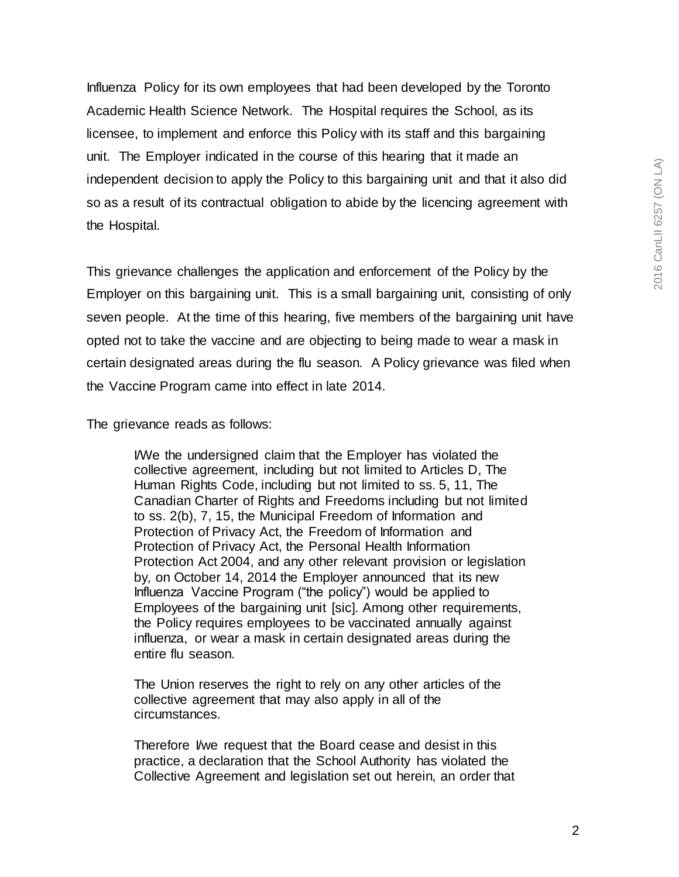Influenza Policy for its own employees that had been developed by the Toronto Academic Health Science Network. The Hospital requires the School, as its licensee, to implement and enforce this Policy with its staff and this bargaining unit. The Employer indicated in the course of this hearing that it made an independent decision to apply the Policy to this bargaining unit and that it also did so as a result of its contractual obligation to abide by the licencing agreement with the Hospital.

This grievance challenges the application and enforcement of the Policy by the Employer on this bargaining unit. This is a small bargaining unit, consisting of only seven people. At the time of this hearing, five members of the bargaining unit have opted not to take the vaccine and are objecting to being made to wear a mask in certain designated areas during the flu season. A Policy grievance was filed when the Vaccine Program came into effect in late 2014.

The grievance reads as follows:

I/We the undersigned claim that the Employer has violated the collective agreement, including but not limited to Articles D, The Human Rights Code, including but not limited to ss. 5, 11, The Canadian Charter of Rights and Freedoms including but not limited to ss. 2(b), 7, 15, the Municipal Freedom of Information and Protection of Privacy Act, the Freedom of Information and Protection of Privacy Act, the Personal Health Information Protection Act 2004, and any other relevant provision or legislation by, on October 14, 2014 the Employer announced that its new Influenza Vaccine Program ("the policy") would be applied to Employees of the bargaining unit [sic]. Among other requirements, the Policy requires employees to be vaccinated annually against influenza, or wear a mask in certain designated areas during the entire flu season.

The Union reserves the right to rely on any other articles of the collective agreement that may also apply in all of the circumstances.

Therefore I/we request that the Board cease and desist in this practice, a declaration that the School Authority has violated the Collective Agreement and legislation set out herein, an order that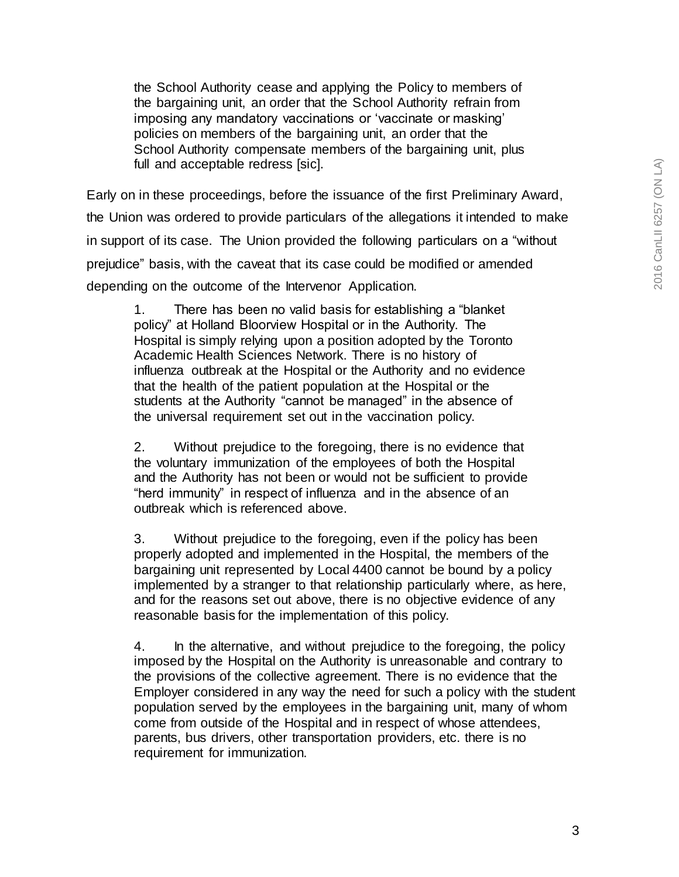the School Authority cease and applying the Policy to members of the bargaining unit, an order that the School Authority refrain from imposing any mandatory vaccinations or 'vaccinate or masking' policies on members of the bargaining unit, an order that the School Authority compensate members of the bargaining unit, plus full and acceptable redress [sic].

Early on in these proceedings, before the issuance of the first Preliminary Award, the Union was ordered to provide particulars of the allegations it intended to make in support of its case. The Union provided the following particulars on a "without prejudice" basis, with the caveat that its case could be modified or amended depending on the outcome of the Intervenor Application.

1. There has been no valid basis for establishing a "blanket policy" at Holland Bloorview Hospital or in the Authority. The Hospital is simply relying upon a position adopted by the Toronto Academic Health Sciences Network. There is no history of influenza outbreak at the Hospital or the Authority and no evidence that the health of the patient population at the Hospital or the students at the Authority "cannot be managed" in the absence of the universal requirement set out in the vaccination policy.

2. Without prejudice to the foregoing, there is no evidence that the voluntary immunization of the employees of both the Hospital and the Authority has not been or would not be sufficient to provide "herd immunity" in respect of influenza and in the absence of an outbreak which is referenced above.

3. Without prejudice to the foregoing, even if the policy has been properly adopted and implemented in the Hospital, the members of the bargaining unit represented by Local 4400 cannot be bound by a policy implemented by a stranger to that relationship particularly where, as here, and for the reasons set out above, there is no objective evidence of any reasonable basis for the implementation of this policy.

4. In the alternative, and without prejudice to the foregoing, the policy imposed by the Hospital on the Authority is unreasonable and contrary to the provisions of the collective agreement. There is no evidence that the Employer considered in any way the need for such a policy with the student population served by the employees in the bargaining unit, many of whom come from outside of the Hospital and in respect of whose attendees, parents, bus drivers, other transportation providers, etc. there is no requirement for immunization.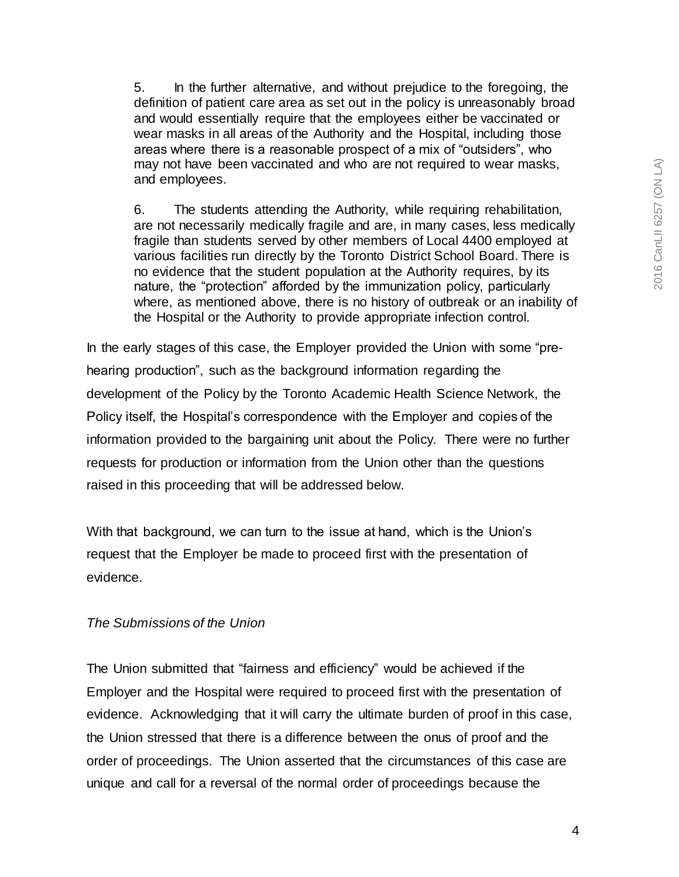5. In the further alternative, and without prejudice to the foregoing, the definition of patient care area as set out in the policy is unreasonably broad and would essentially require that the employees either be vaccinated or wear masks in all areas of the Authority and the Hospital, including those areas where there is a reasonable prospect of a mix of "outsiders", who may not have been vaccinated and who are not required to wear masks, and employees.

6. The students attending the Authority, while requiring rehabilitation, are not necessarily medically fragile and are, in many cases, less medically fragile than students served by other members of Local 4400 employed at various facilities run directly by the Toronto District School Board. There is no evidence that the student population at the Authority requires, by its nature, the "protection" afforded by the immunization policy, particularly where, as mentioned above, there is no history of outbreak or an inability of the Hospital or the Authority to provide appropriate infection control.

In the early stages of this case, the Employer provided the Union with some "prehearing production", such as the background information regarding the development of the Policy by the Toronto Academic Health Science Network, the Policy itself, the Hospital's correspondence with the Employer and copies of the information provided to the bargaining unit about the Policy. There were no further requests for production or information from the Union other than the questions raised in this proceeding that will be addressed below.

With that background, we can turn to the issue at hand, which is the Union's request that the Employer be made to proceed first with the presentation of evidence.

## *The Submissions of the Union*

The Union submitted that "fairness and efficiency" would be achieved if the Employer and the Hospital were required to proceed first with the presentation of evidence. Acknowledging that it will carry the ultimate burden of proof in this case, the Union stressed that there is a difference between the onus of proof and the order of proceedings. The Union asserted that the circumstances of this case are unique and call for a reversal of the normal order of proceedings because the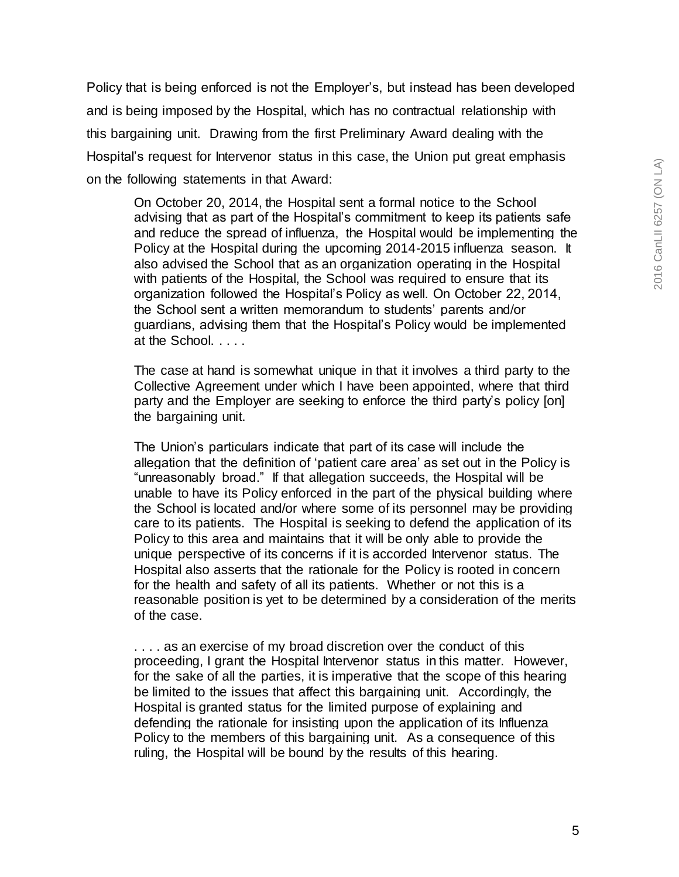Policy that is being enforced is not the Employer's, but instead has been developed and is being imposed by the Hospital, which has no contractual relationship with this bargaining unit. Drawing from the first Preliminary Award dealing with the Hospital's request for Intervenor status in this case, the Union put great emphasis on the following statements in that Award:

On October 20, 2014, the Hospital sent a formal notice to the School advising that as part of the Hospital's commitment to keep its patients safe and reduce the spread of influenza, the Hospital would be implementing the Policy at the Hospital during the upcoming 2014-2015 influenza season. It also advised the School that as an organization operating in the Hospital with patients of the Hospital, the School was required to ensure that its organization followed the Hospital's Policy as well. On October 22, 2014, the School sent a written memorandum to students' parents and/or guardians, advising them that the Hospital's Policy would be implemented at the School. . . . .

The case at hand is somewhat unique in that it involves a third party to the Collective Agreement under which I have been appointed, where that third party and the Employer are seeking to enforce the third party's policy [on] the bargaining unit.

The Union's particulars indicate that part of its case will include the allegation that the definition of 'patient care area' as set out in the Policy is "unreasonably broad." If that allegation succeeds, the Hospital will be unable to have its Policy enforced in the part of the physical building where the School is located and/or where some of its personnel may be providing care to its patients. The Hospital is seeking to defend the application of its Policy to this area and maintains that it will be only able to provide the unique perspective of its concerns if it is accorded Intervenor status. The Hospital also asserts that the rationale for the Policy is rooted in concern for the health and safety of all its patients. Whether or not this is a reasonable position is yet to be determined by a consideration of the merits of the case.

. . . . as an exercise of my broad discretion over the conduct of this proceeding, I grant the Hospital Intervenor status in this matter. However, for the sake of all the parties, it is imperative that the scope of this hearing be limited to the issues that affect this bargaining unit. Accordingly, the Hospital is granted status for the limited purpose of explaining and defending the rationale for insisting upon the application of its Influenza Policy to the members of this bargaining unit. As a consequence of this ruling, the Hospital will be bound by the results of this hearing.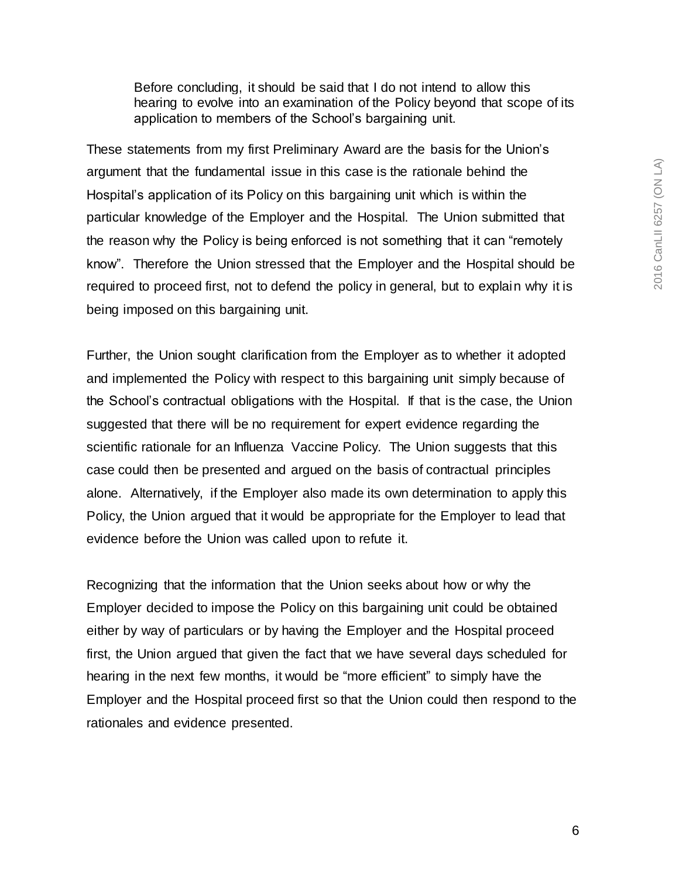Before concluding, it should be said that I do not intend to allow this hearing to evolve into an examination of the Policy beyond that scope of its application to members of the School's bargaining unit.

These statements from my first Preliminary Award are the basis for the Union's argument that the fundamental issue in this case is the rationale behind the Hospital's application of its Policy on this bargaining unit which is within the particular knowledge of the Employer and the Hospital. The Union submitted that the reason why the Policy is being enforced is not something that it can "remotely know". Therefore the Union stressed that the Employer and the Hospital should be required to proceed first, not to defend the policy in general, but to explain why it is being imposed on this bargaining unit.

Further, the Union sought clarification from the Employer as to whether it adopted and implemented the Policy with respect to this bargaining unit simply because of the School's contractual obligations with the Hospital. If that is the case, the Union suggested that there will be no requirement for expert evidence regarding the scientific rationale for an Influenza Vaccine Policy. The Union suggests that this case could then be presented and argued on the basis of contractual principles alone. Alternatively, if the Employer also made its own determination to apply this Policy, the Union argued that it would be appropriate for the Employer to lead that evidence before the Union was called upon to refute it.

Recognizing that the information that the Union seeks about how or why the Employer decided to impose the Policy on this bargaining unit could be obtained either by way of particulars or by having the Employer and the Hospital proceed first, the Union argued that given the fact that we have several days scheduled for hearing in the next few months, it would be "more efficient" to simply have the Employer and the Hospital proceed first so that the Union could then respond to the rationales and evidence presented.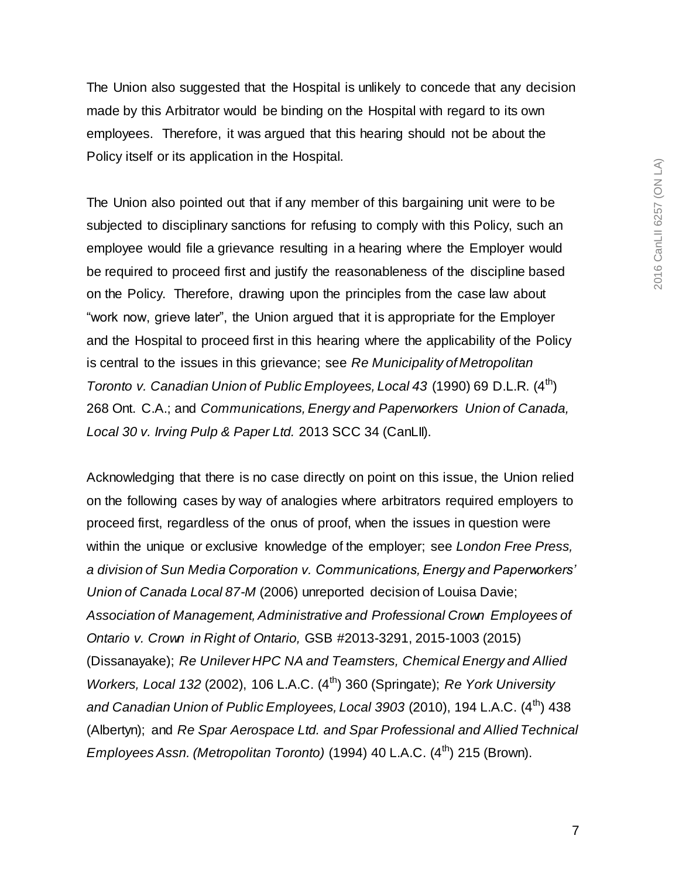The Union also suggested that the Hospital is unlikely to concede that any decision made by this Arbitrator would be binding on the Hospital with regard to its own employees. Therefore, it was argued that this hearing should not be about the Policy itself or its application in the Hospital.

The Union also pointed out that if any member of this bargaining unit were to be subjected to disciplinary sanctions for refusing to comply with this Policy, such an employee would file a grievance resulting in a hearing where the Employer would be required to proceed first and justify the reasonableness of the discipline based on the Policy. Therefore, drawing upon the principles from the case law about "work now, grieve later", the Union argued that it is appropriate for the Employer and the Hospital to proceed first in this hearing where the applicability of the Policy is central to the issues in this grievance; see *Re Municipality of Metropolitan Toronto v. Canadian Union of Public Employees, Local 43 (1990) 69 D.L.R. (4<sup>th</sup>)* 268 Ont. C.A.; and *Communications, Energy and Paperworkers Union of Canada, Local 30 v. Irving Pulp & Paper Ltd.* 2013 SCC 34 (CanLII).

Acknowledging that there is no case directly on point on this issue, the Union relied on the following cases by way of analogies where arbitrators required employers to proceed first, regardless of the onus of proof, when the issues in question were within the unique or exclusive knowledge of the employer; see *London Free Press, a division of Sun Media Corporation v. Communications, Energy and Paperworkers' Union of Canada Local 87-M* (2006) unreported decision of Louisa Davie; *Association of Management, Administrative and Professional Crown Employees of Ontario v. Crown in Right of Ontario,* GSB #2013-3291, 2015-1003 (2015) (Dissanayake); *Re Unilever HPC NA and Teamsters, Chemical Energy and Allied Workers, Local 132* (2002), 106 L.A.C. (4th) 360 (Springate); *Re York University*  and Canadian Union of Public Employees, Local 3903 (2010), 194 L.A.C. (4<sup>th</sup>) 438 (Albertyn); and *Re Spar Aerospace Ltd. and Spar Professional and Allied Technical Employees Assn. (Metropolitan Toronto)* (1994) 40 L.A.C. (4<sup>th</sup>) 215 (Brown).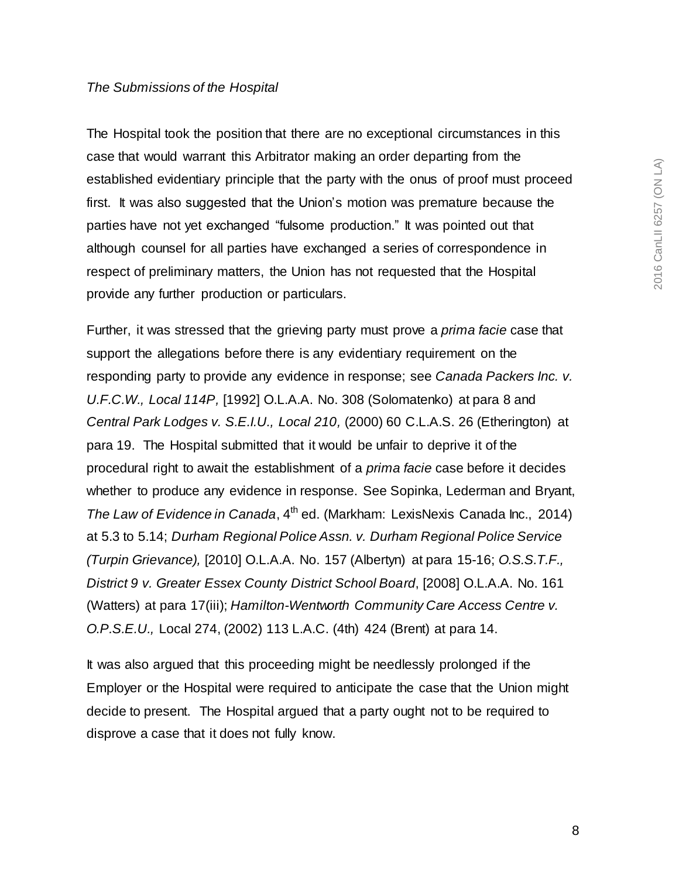#### *The Submissions of the Hospital*

The Hospital took the position that there are no exceptional circumstances in this case that would warrant this Arbitrator making an order departing from the established evidentiary principle that the party with the onus of proof must proceed first. It was also suggested that the Union's motion was premature because the parties have not yet exchanged "fulsome production." It was pointed out that although counsel for all parties have exchanged a series of correspondence in respect of preliminary matters, the Union has not requested that the Hospital provide any further production or particulars.

Further, it was stressed that the grieving party must prove a *prima facie* case that support the allegations before there is any evidentiary requirement on the responding party to provide any evidence in response; see *Canada Packers Inc. v. U.F.C.W., Local 114P,* [1992] O.L.A.A. No. 308 (Solomatenko) at para 8 and *Central Park Lodges v. S.E.I.U., Local 210,* (2000) 60 C.L.A.S. 26 (Etherington) at para 19. The Hospital submitted that it would be unfair to deprive it of the procedural right to await the establishment of a *prima facie* case before it decides whether to produce any evidence in response. See Sopinka, Lederman and Bryant, *The Law of Evidence in Canada*, 4th ed. (Markham: LexisNexis Canada Inc., 2014) at 5.3 to 5.14; *Durham Regional Police Assn. v. Durham Regional Police Service (Turpin Grievance),* [2010] O.L.A.A. No. 157 (Albertyn) at para 15-16; *O.S.S.T.F., District 9 v. Greater Essex County District School Board*, [2008] O.L.A.A. No. 161 (Watters) at para 17(iii); *Hamilton-Wentworth Community Care Access Centre v. O.P.S.E.U.,* Local 274, (2002) 113 L.A.C. (4th) 424 (Brent) at para 14.

It was also argued that this proceeding might be needlessly prolonged if the Employer or the Hospital were required to anticipate the case that the Union might decide to present. The Hospital argued that a party ought not to be required to disprove a case that it does not fully know.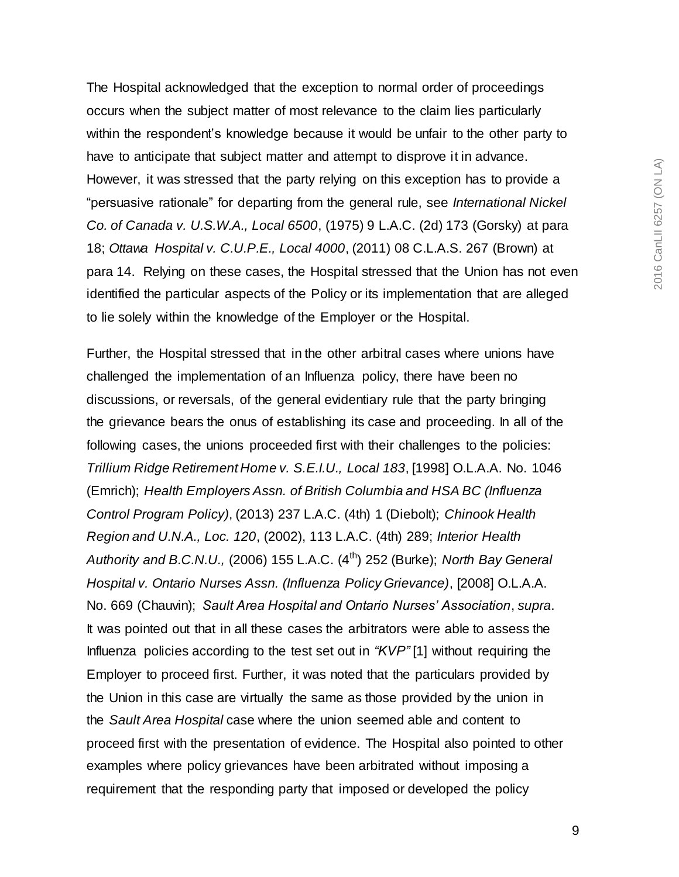The Hospital acknowledged that the exception to normal order of proceedings occurs when the subject matter of most relevance to the claim lies particularly within the respondent's knowledge because it would be unfair to the other party to have to anticipate that subject matter and attempt to disprove it in advance. However, it was stressed that the party relying on this exception has to provide a "persuasive rationale" for departing from the general rule, see *International Nickel Co. of Canada v. U.S.W.A., Local 6500*, (1975) 9 L.A.C. (2d) 173 (Gorsky) at para 18; *Ottawa Hospital v. C.U.P.E., Local 4000*, (2011) 08 C.L.A.S. 267 (Brown) at para 14. Relying on these cases, the Hospital stressed that the Union has not even identified the particular aspects of the Policy or its implementation that are alleged to lie solely within the knowledge of the Employer or the Hospital.

Further, the Hospital stressed that in the other arbitral cases where unions have challenged the implementation of an Influenza policy, there have been no discussions, or reversals, of the general evidentiary rule that the party bringing the grievance bears the onus of establishing its case and proceeding. In all of the following cases, the unions proceeded first with their challenges to the policies: *Trillium Ridge Retirement Home v. S.E.I.U., Local 183*, [1998] O.L.A.A. No. 1046 (Emrich); *Health Employers Assn. of British Columbia and HSA BC (Influenza Control Program Policy)*, (2013) 237 L.A.C. (4th) 1 (Diebolt); *Chinook Health Region and U.N.A., Loc. 120*, (2002), 113 L.A.C. (4th) 289; *Interior Health Authority and B.C.N.U.,* (2006) 155 L.A.C. (4th) 252 (Burke); *North Bay General Hospital v. Ontario Nurses Assn. (Influenza Policy Grievance)*, [2008] O.L.A.A. No. 669 (Chauvin); *Sault Area Hospital and Ontario Nurses' Association*, *supra*. It was pointed out that in all these cases the arbitrators were able to assess the Influenza policies according to the test set out in *"KVP"* [1] without requiring the Employer to proceed first. Further, it was noted that the particulars provided by the Union in this case are virtually the same as those provided by the union in the *Sault Area Hospital* case where the union seemed able and content to proceed first with the presentation of evidence. The Hospital also pointed to other examples where policy grievances have been arbitrated without imposing a requirement that the responding party that imposed or developed the policy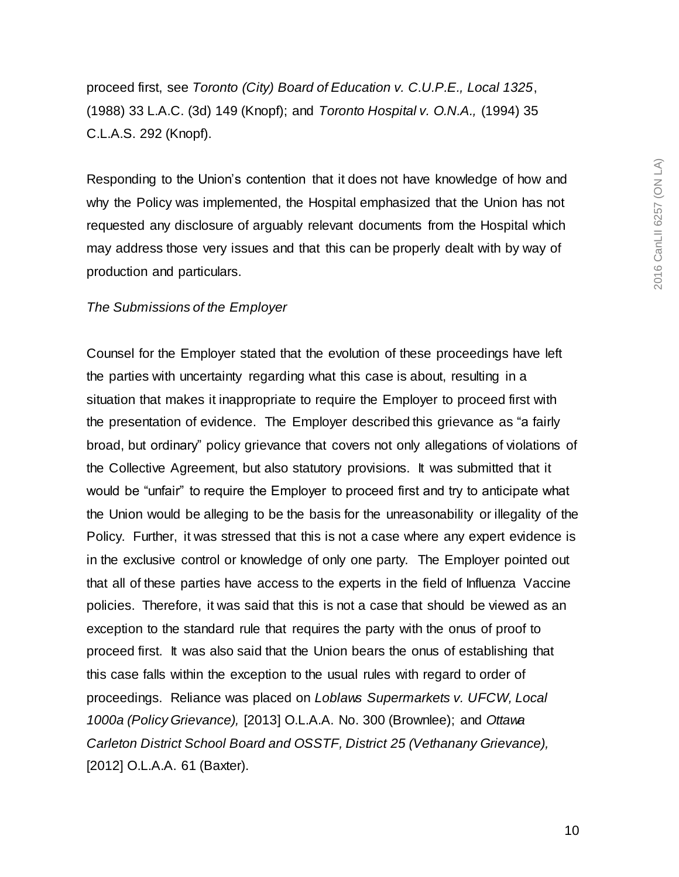proceed first, see *Toronto (City) Board of Education v. C.U.P.E., Local 1325*, (1988) 33 L.A.C. (3d) 149 (Knopf); and *Toronto Hospital v. O.N.A.,* (1994) 35 C.L.A.S. 292 (Knopf).

Responding to the Union's contention that it does not have knowledge of how and why the Policy was implemented, the Hospital emphasized that the Union has not requested any disclosure of arguably relevant documents from the Hospital which may address those very issues and that this can be properly dealt with by way of production and particulars.

### *The Submissions of the Employer*

Counsel for the Employer stated that the evolution of these proceedings have left the parties with uncertainty regarding what this case is about, resulting in a situation that makes it inappropriate to require the Employer to proceed first with the presentation of evidence. The Employer described this grievance as "a fairly broad, but ordinary" policy grievance that covers not only allegations of violations of the Collective Agreement, but also statutory provisions. It was submitted that it would be "unfair" to require the Employer to proceed first and try to anticipate what the Union would be alleging to be the basis for the unreasonability or illegality of the Policy. Further, it was stressed that this is not a case where any expert evidence is in the exclusive control or knowledge of only one party. The Employer pointed out that all of these parties have access to the experts in the field of Influenza Vaccine policies. Therefore, it was said that this is not a case that should be viewed as an exception to the standard rule that requires the party with the onus of proof to proceed first. It was also said that the Union bears the onus of establishing that this case falls within the exception to the usual rules with regard to order of proceedings. Reliance was placed on *Loblaws Supermarkets v. UFCW, Local 1000a (Policy Grievance),* [2013] O.L.A.A. No. 300 (Brownlee); and *Ottawa Carleton District School Board and OSSTF, District 25 (Vethanany Grievance),*  [2012] O.L.A.A. 61 (Baxter).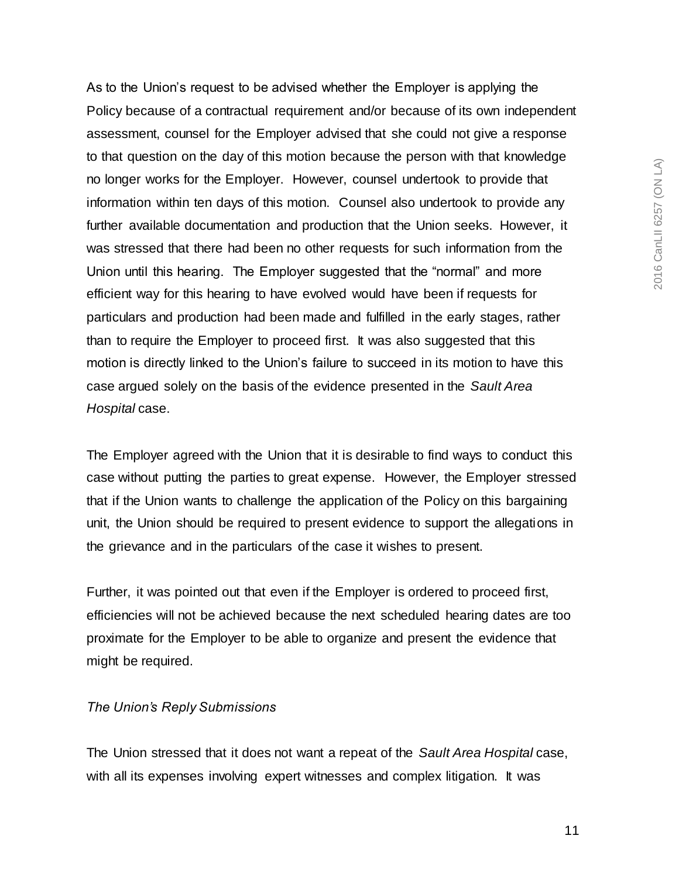As to the Union's request to be advised whether the Employer is applying the Policy because of a contractual requirement and/or because of its own independent assessment, counsel for the Employer advised that she could not give a response to that question on the day of this motion because the person with that knowledge no longer works for the Employer. However, counsel undertook to provide that information within ten days of this motion. Counsel also undertook to provide any further available documentation and production that the Union seeks. However, it was stressed that there had been no other requests for such information from the Union until this hearing. The Employer suggested that the "normal" and more efficient way for this hearing to have evolved would have been if requests for particulars and production had been made and fulfilled in the early stages, rather than to require the Employer to proceed first. It was also suggested that this motion is directly linked to the Union's failure to succeed in its motion to have this case argued solely on the basis of the evidence presented in the *Sault Area Hospital* case.

The Employer agreed with the Union that it is desirable to find ways to conduct this case without putting the parties to great expense. However, the Employer stressed that if the Union wants to challenge the application of the Policy on this bargaining unit, the Union should be required to present evidence to support the allegations in the grievance and in the particulars of the case it wishes to present.

Further, it was pointed out that even if the Employer is ordered to proceed first, efficiencies will not be achieved because the next scheduled hearing dates are too proximate for the Employer to be able to organize and present the evidence that might be required.

### *The Union's Reply Submissions*

The Union stressed that it does not want a repeat of the *Sault Area Hospital* case, with all its expenses involving expert witnesses and complex litigation. It was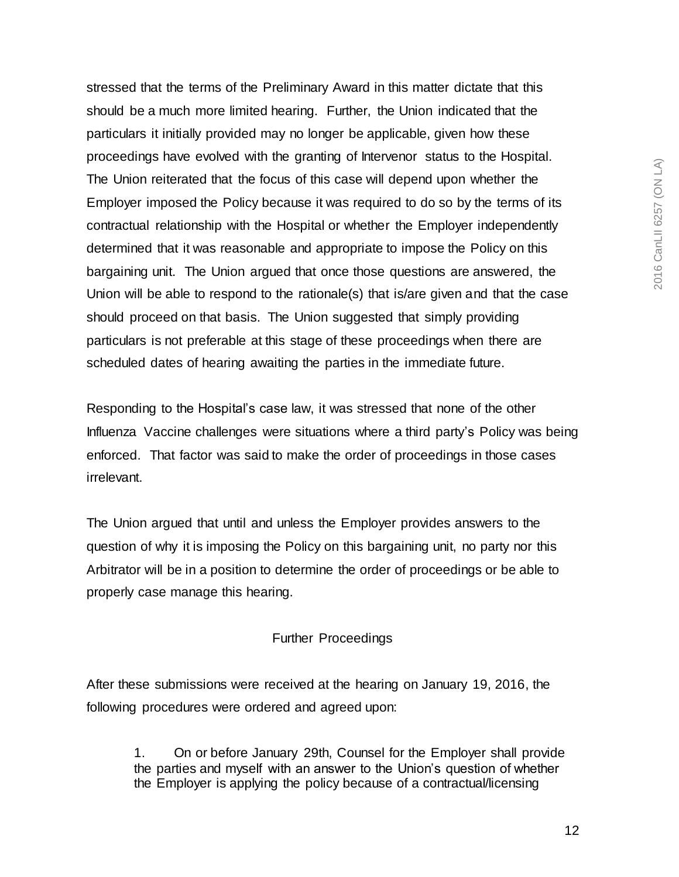2016 CanLII 6257 (ON LA) 2016 CanLII 6257 (ON LA)

stressed that the terms of the Preliminary Award in this matter dictate that this should be a much more limited hearing. Further, the Union indicated that the particulars it initially provided may no longer be applicable, given how these proceedings have evolved with the granting of Intervenor status to the Hospital. The Union reiterated that the focus of this case will depend upon whether the Employer imposed the Policy because it was required to do so by the terms of its contractual relationship with the Hospital or whether the Employer independently determined that it was reasonable and appropriate to impose the Policy on this bargaining unit. The Union argued that once those questions are answered, the Union will be able to respond to the rationale(s) that is/are given and that the case should proceed on that basis. The Union suggested that simply providing particulars is not preferable at this stage of these proceedings when there are scheduled dates of hearing awaiting the parties in the immediate future.

Responding to the Hospital's case law, it was stressed that none of the other Influenza Vaccine challenges were situations where a third party's Policy was being enforced. That factor was said to make the order of proceedings in those cases irrelevant.

The Union argued that until and unless the Employer provides answers to the question of why it is imposing the Policy on this bargaining unit, no party nor this Arbitrator will be in a position to determine the order of proceedings or be able to properly case manage this hearing.

# Further Proceedings

After these submissions were received at the hearing on January 19, 2016, the following procedures were ordered and agreed upon:

> 1. On or before January 29th, Counsel for the Employer shall provide the parties and myself with an answer to the Union's question of whether the Employer is applying the policy because of a contractual/licensing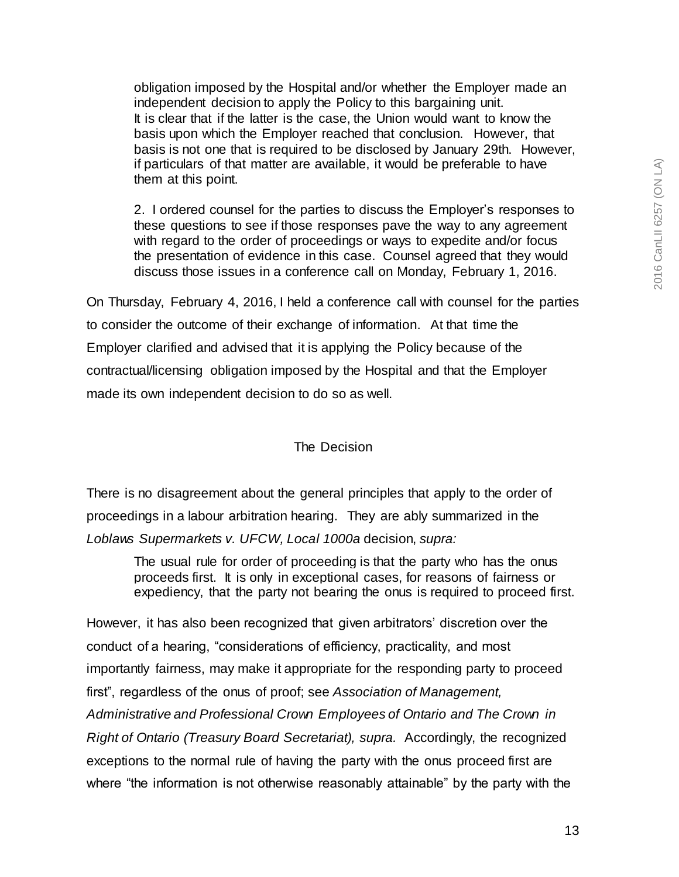obligation imposed by the Hospital and/or whether the Employer made an independent decision to apply the Policy to this bargaining unit. It is clear that if the latter is the case, the Union would want to know the basis upon which the Employer reached that conclusion. However, that basis is not one that is required to be disclosed by January 29th. However, if particulars of that matter are available, it would be preferable to have them at this point.

2. I ordered counsel for the parties to discuss the Employer's responses to these questions to see if those responses pave the way to any agreement with regard to the order of proceedings or ways to expedite and/or focus the presentation of evidence in this case. Counsel agreed that they would discuss those issues in a conference call on Monday, February 1, 2016.

On Thursday, February 4, 2016, I held a conference call with counsel for the parties to consider the outcome of their exchange of information. At that time the Employer clarified and advised that it is applying the Policy because of the contractual/licensing obligation imposed by the Hospital and that the Employer made its own independent decision to do so as well.

## The Decision

There is no disagreement about the general principles that apply to the order of proceedings in a labour arbitration hearing. They are ably summarized in the *Loblaws Supermarkets v. UFCW, Local 1000a* decision, *supra:*

The usual rule for order of proceeding is that the party who has the onus proceeds first. It is only in exceptional cases, for reasons of fairness or expediency, that the party not bearing the onus is required to proceed first.

However, it has also been recognized that given arbitrators' discretion over the conduct of a hearing, "considerations of efficiency, practicality, and most importantly fairness, may make it appropriate for the responding party to proceed first", regardless of the onus of proof; see *Association of Management, Administrative and Professional Crown Employees of Ontario and The Crown in Right of Ontario (Treasury Board Secretariat), supra.* Accordingly, the recognized exceptions to the normal rule of having the party with the onus proceed first are where "the information is not otherwise reasonably attainable" by the party with the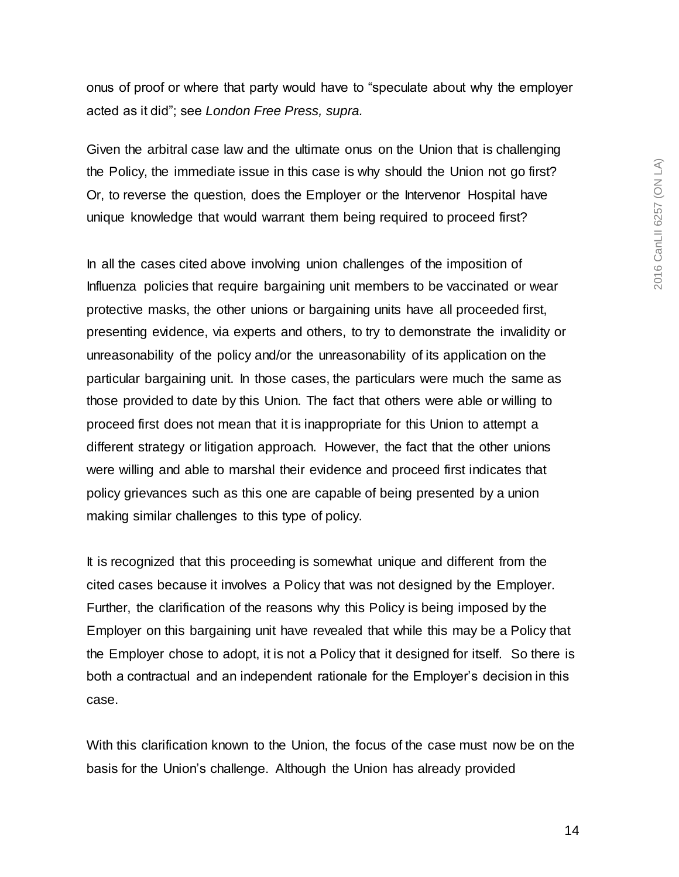onus of proof or where that party would have to "speculate about why the employer acted as it did"; see *London Free Press, supra.* 

Given the arbitral case law and the ultimate onus on the Union that is challenging the Policy, the immediate issue in this case is why should the Union not go first? Or, to reverse the question, does the Employer or the Intervenor Hospital have unique knowledge that would warrant them being required to proceed first?

In all the cases cited above involving union challenges of the imposition of Influenza policies that require bargaining unit members to be vaccinated or wear protective masks, the other unions or bargaining units have all proceeded first, presenting evidence, via experts and others, to try to demonstrate the invalidity or unreasonability of the policy and/or the unreasonability of its application on the particular bargaining unit. In those cases, the particulars were much the same as those provided to date by this Union. The fact that others were able or willing to proceed first does not mean that it is inappropriate for this Union to attempt a different strategy or litigation approach. However, the fact that the other unions were willing and able to marshal their evidence and proceed first indicates that policy grievances such as this one are capable of being presented by a union making similar challenges to this type of policy.

It is recognized that this proceeding is somewhat unique and different from the cited cases because it involves a Policy that was not designed by the Employer. Further, the clarification of the reasons why this Policy is being imposed by the Employer on this bargaining unit have revealed that while this may be a Policy that the Employer chose to adopt, it is not a Policy that it designed for itself. So there is both a contractual and an independent rationale for the Employer's decision in this case.

With this clarification known to the Union, the focus of the case must now be on the basis for the Union's challenge. Although the Union has already provided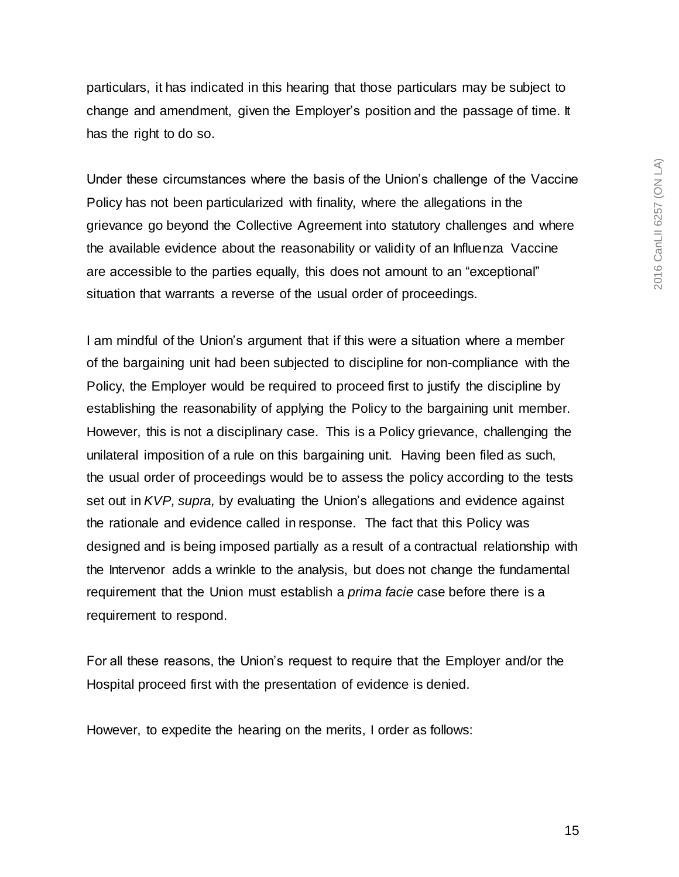particulars, it has indicated in this hearing that those particulars may be subject to change and amendment, given the Employer's position and the passage of time. It has the right to do so.

Under these circumstances where the basis of the Union's challenge of the Vaccine Policy has not been particularized with finality, where the allegations in the grievance go beyond the Collective Agreement into statutory challenges and where the available evidence about the reasonability or validity of an Influenza Vaccine are accessible to the parties equally, this does not amount to an "exceptional" situation that warrants a reverse of the usual order of proceedings.

I am mindful of the Union's argument that if this were a situation where a member of the bargaining unit had been subjected to discipline for non-compliance with the Policy, the Employer would be required to proceed first to justify the discipline by establishing the reasonability of applying the Policy to the bargaining unit member. However, this is not a disciplinary case. This is a Policy grievance, challenging the unilateral imposition of a rule on this bargaining unit. Having been filed as such, the usual order of proceedings would be to assess the policy according to the tests set out in *KVP, supra,* by evaluating the Union's allegations and evidence against the rationale and evidence called in response. The fact that this Policy was designed and is being imposed partially as a result of a contractual relationship with the Intervenor adds a wrinkle to the analysis, but does not change the fundamental requirement that the Union must establish a *prima facie* case before there is a requirement to respond.

For all these reasons, the Union's request to require that the Employer and/or the Hospital proceed first with the presentation of evidence is denied.

However, to expedite the hearing on the merits, I order as follows: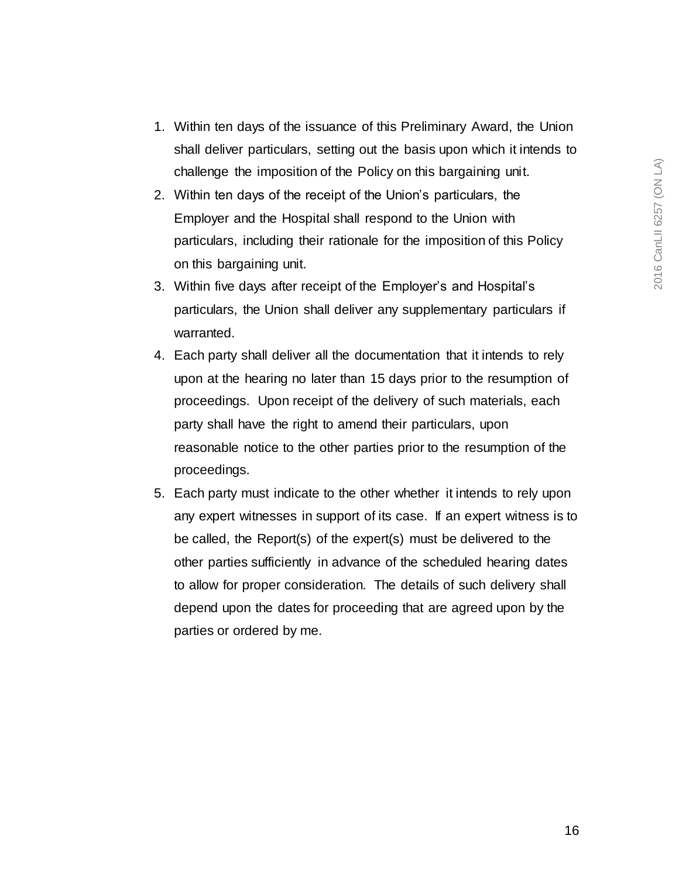- 1. Within ten days of the issuance of this Preliminary Award, the Union shall deliver particulars, setting out the basis upon which it intends to challenge the imposition of the Policy on this bargaining unit.
- 2. Within ten days of the receipt of the Union's particulars, the Employer and the Hospital shall respond to the Union with particulars, including their rationale for the imposition of this Policy on this bargaining unit.
- 3. Within five days after receipt of the Employer's and Hospital's particulars, the Union shall deliver any supplementary particulars if warranted.
- 4. Each party shall deliver all the documentation that it intends to rely upon at the hearing no later than 15 days prior to the resumption of proceedings. Upon receipt of the delivery of such materials, each party shall have the right to amend their particulars, upon reasonable notice to the other parties prior to the resumption of the proceedings.
- 5. Each party must indicate to the other whether it intends to rely upon any expert witnesses in support of its case. If an expert witness is to be called, the Report(s) of the expert(s) must be delivered to the other parties sufficiently in advance of the scheduled hearing dates to allow for proper consideration. The details of such delivery shall depend upon the dates for proceeding that are agreed upon by the parties or ordered by me.